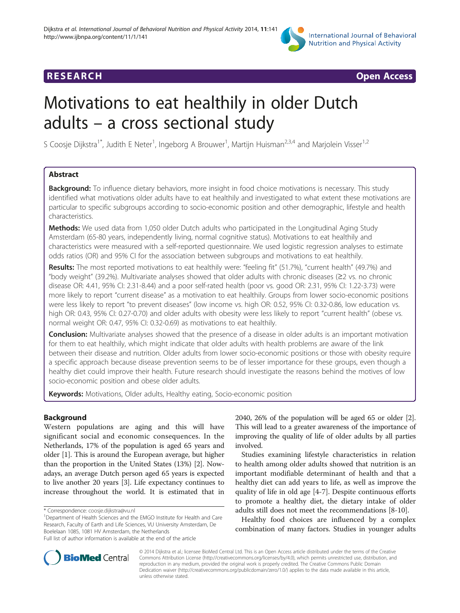



# Motivations to eat healthily in older Dutch adults – a cross sectional study

S Coosje Dijkstra<sup>1\*</sup>, Judith E Neter<sup>1</sup>, Ingeborg A Brouwer<sup>1</sup>, Martijn Huisman<sup>2,3,4</sup> and Marjolein Visser<sup>1,2</sup>

# Abstract

**Background:** To influence dietary behaviors, more insight in food choice motivations is necessary. This study identified what motivations older adults have to eat healthily and investigated to what extent these motivations are particular to specific subgroups according to socio-economic position and other demographic, lifestyle and health characteristics.

Methods: We used data from 1,050 older Dutch adults who participated in the Longitudinal Aging Study Amsterdam (65-80 years, independently living, normal cognitive status). Motivations to eat healthily and characteristics were measured with a self-reported questionnaire. We used logistic regression analyses to estimate odds ratios (OR) and 95% CI for the association between subgroups and motivations to eat healthily.

Results: The most reported motivations to eat healthily were: "feeling fit" (51.7%), "current health" (49.7%) and "body weight" (39.2%). Multivariate analyses showed that older adults with chronic diseases (≥2 vs. no chronic disease OR: 4.41, 95% CI: 2.31-8.44) and a poor self-rated health (poor vs. good OR: 2.31, 95% CI: 1.22-3.73) were more likely to report "current disease" as a motivation to eat healthily. Groups from lower socio-economic positions were less likely to report "to prevent diseases" (low income vs. high OR: 0.52, 95% CI: 0.32-0.86, low education vs. high OR: 0.43, 95% CI: 0.27-0.70) and older adults with obesity were less likely to report "current health" (obese vs. normal weight OR: 0.47, 95% CI: 0.32-0.69) as motivations to eat healthily.

**Conclusion:** Multivariate analyses showed that the presence of a disease in older adults is an important motivation for them to eat healthily, which might indicate that older adults with health problems are aware of the link between their disease and nutrition. Older adults from lower socio-economic positions or those with obesity require a specific approach because disease prevention seems to be of lesser importance for these groups, even though a healthy diet could improve their health. Future research should investigate the reasons behind the motives of low socio-economic position and obese older adults.

**Keywords:** Motivations, Older adults, Healthy eating, Socio-economic position

# Background

Western populations are aging and this will have significant social and economic consequences. In the Netherlands, 17% of the population is aged 65 years and older [\[1](#page-10-0)]. This is around the European average, but higher than the proportion in the United States (13%) [\[2](#page-10-0)]. Nowadays, an average Dutch person aged 65 years is expected to live another 20 years [\[3\]](#page-10-0). Life expectancy continues to increase throughout the world. It is estimated that in

Department of Health Sciences and the EMGO Institute for Health and Care Research, Faculty of Earth and Life Sciences, VU University Amsterdam, De Boelelaan 1085, 1081 HV Amsterdam, the Netherlands Full list of author information is available at the end of the article

Healthy food choices are influenced by a complex combination of many factors. Studies in younger adults



© 2014 Dijkstra et al.; licensee BioMed Central Ltd. This is an Open Access article distributed under the terms of the Creative Commons Attribution License [\(http://creativecommons.org/licenses/by/4.0\)](http://creativecommons.org/licenses/by/4.0), which permits unrestricted use, distribution, and reproduction in any medium, provided the original work is properly credited. The Creative Commons Public Domain Dedication waiver [\(http://creativecommons.org/publicdomain/zero/1.0/](http://creativecommons.org/publicdomain/zero/1.0/)) applies to the data made available in this article, unless otherwise stated.

<sup>\*</sup> Correspondence: [coosje.dijkstra@vu.nl](mailto:coosje.dijkstra@vu.nl) <sup>1</sup>

<sup>2040, 26%</sup> of the population will be aged 65 or older [[2](#page-10-0)]. This will lead to a greater awareness of the importance of improving the quality of life of older adults by all parties involved.

Studies examining lifestyle characteristics in relation to health among older adults showed that nutrition is an important modifiable determinant of health and that a healthy diet can add years to life, as well as improve the quality of life in old age [\[4](#page-10-0)-[7\]](#page-10-0). Despite continuous efforts to promote a healthy diet, the dietary intake of older adults still does not meet the recommendations [\[8](#page-10-0)-[10\]](#page-10-0).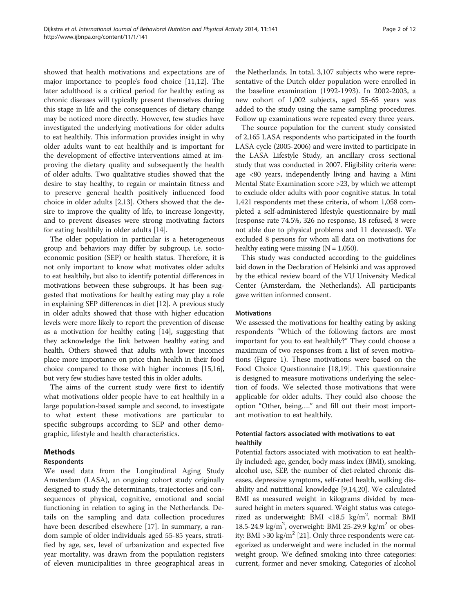showed that health motivations and expectations are of major importance to people's food choice [[11,](#page-10-0)[12](#page-11-0)]. The later adulthood is a critical period for healthy eating as chronic diseases will typically present themselves during this stage in life and the consequences of dietary change may be noticed more directly. However, few studies have investigated the underlying motivations for older adults to eat healthily. This information provides insight in why older adults want to eat healthily and is important for the development of effective interventions aimed at improving the dietary quality and subsequently the health of older adults. Two qualitative studies showed that the desire to stay healthy, to regain or maintain fitness and to preserve general health positively influenced food choice in older adults [[2,](#page-10-0)[13\]](#page-11-0). Others showed that the desire to improve the quality of life, to increase longevity, and to prevent diseases were strong motivating factors for eating healthily in older adults [[14\]](#page-11-0).

The older population in particular is a heterogeneous group and behaviors may differ by subgroup, i.e. socioeconomic position (SEP) or health status. Therefore, it is not only important to know what motivates older adults to eat healthily, but also to identify potential differences in motivations between these subgroups. It has been suggested that motivations for healthy eating may play a role in explaining SEP differences in diet [[12](#page-11-0)]. A previous study in older adults showed that those with higher education levels were more likely to report the prevention of disease as a motivation for healthy eating [[14](#page-11-0)], suggesting that they acknowledge the link between healthy eating and health. Others showed that adults with lower incomes place more importance on price than health in their food choice compared to those with higher incomes [\[15,16](#page-11-0)], but very few studies have tested this in older adults.

The aims of the current study were first to identify what motivations older people have to eat healthily in a large population-based sample and second, to investigate to what extent these motivations are particular to specific subgroups according to SEP and other demographic, lifestyle and health characteristics.

# Methods

#### Respondents

We used data from the Longitudinal Aging Study Amsterdam (LASA), an ongoing cohort study originally designed to study the determinants, trajectories and consequences of physical, cognitive, emotional and social functioning in relation to aging in the Netherlands. Details on the sampling and data collection procedures have been described elsewhere [[17\]](#page-11-0). In summary, a random sample of older individuals aged 55-85 years, stratified by age, sex, level of urbanization and expected five year mortality, was drawn from the population registers of eleven municipalities in three geographical areas in

the Netherlands. In total, 3,107 subjects who were representative of the Dutch older population were enrolled in the baseline examination (1992-1993). In 2002-2003, a new cohort of 1,002 subjects, aged 55-65 years was added to the study using the same sampling procedures. Follow up examinations were repeated every three years.

The source population for the current study consisted of 2,165 LASA respondents who participated in the fourth LASA cycle (2005-2006) and were invited to participate in the LASA Lifestyle Study, an ancillary cross sectional study that was conducted in 2007. Eligibility criteria were: age <80 years, independently living and having a Mini Mental State Examination score >23, by which we attempt to exclude older adults with poor cognitive status. In total 1,421 respondents met these criteria, of whom 1,058 completed a self-administered lifestyle questionnaire by mail (response rate 74.5%, 326 no response, 18 refused, 8 were not able due to physical problems and 11 deceased). We excluded 8 persons for whom all data on motivations for healthy eating were missing  $(N = 1,050)$ .

This study was conducted according to the guidelines laid down in the Declaration of Helsinki and was approved by the ethical review board of the VU University Medical Center (Amsterdam, the Netherlands). All participants gave written informed consent.

#### **Motivations**

We assessed the motivations for healthy eating by asking respondents "Which of the following factors are most important for you to eat healthily?" They could choose a maximum of two responses from a list of seven motivations (Figure [1\)](#page-2-0). These motivations were based on the Food Choice Questionnaire [[18](#page-11-0),[19](#page-11-0)]. This questionnaire is designed to measure motivations underlying the selection of foods. We selected those motivations that were applicable for older adults. They could also choose the option "Other, being…." and fill out their most important motivation to eat healthily.

# Potential factors associated with motivations to eat healthily

Potential factors associated with motivation to eat healthily included: age, gender, body mass index (BMI), smoking, alcohol use, SEP, the number of diet-related chronic diseases, depressive symptoms, self-rated health, walking disability and nutritional knowledge [[9](#page-10-0),[14,20\]](#page-11-0). We calculated BMI as measured weight in kilograms divided by measured height in meters squared. Weight status was categorized as underweight: BMI <18.5 kg/m<sup>2</sup>, normal: BMI 18.5-24.9 kg/m<sup>2</sup>, overweight: BMI 25-29.9 kg/m<sup>2</sup> or obes-ity: BMI >30 kg/m<sup>2</sup> [[21](#page-11-0)]. Only three respondents were categorized as underweight and were included in the normal weight group. We defined smoking into three categories: current, former and never smoking. Categories of alcohol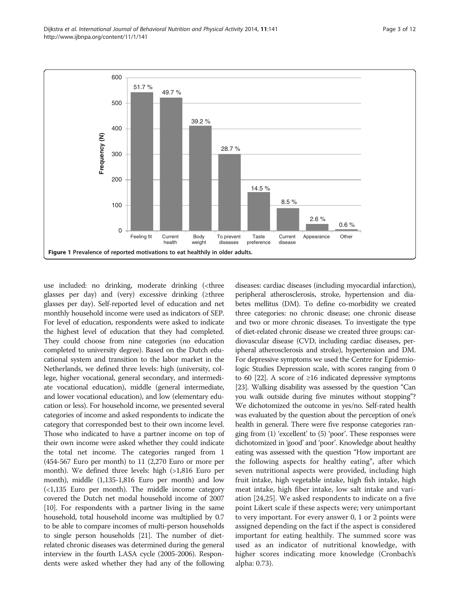<span id="page-2-0"></span>

use included: no drinking, moderate drinking (<three glasses per day) and (very) excessive drinking (≥three glasses per day). Self-reported level of education and net monthly household income were used as indicators of SEP. For level of education, respondents were asked to indicate the highest level of education that they had completed. They could choose from nine categories (no education completed to university degree). Based on the Dutch educational system and transition to the labor market in the Netherlands, we defined three levels: high (university, college, higher vocational, general secondary, and intermediate vocational education), middle (general intermediate, and lower vocational education), and low (elementary education or less). For household income, we presented several categories of income and asked respondents to indicate the category that corresponded best to their own income level. Those who indicated to have a partner income on top of their own income were asked whether they could indicate the total net income. The categories ranged from 1 (454-567 Euro per month) to 11 (2,270 Euro or more per month). We defined three levels: high (>1,816 Euro per month), middle (1,135-1,816 Euro per month) and low (<1,135 Euro per month). The middle income category covered the Dutch net modal household income of 2007 [[10](#page-10-0)]. For respondents with a partner living in the same household, total household income was multiplied by 0.7 to be able to compare incomes of multi-person households to single person households [\[21\]](#page-11-0). The number of dietrelated chronic diseases was determined during the general interview in the fourth LASA cycle (2005-2006). Respondents were asked whether they had any of the following

diseases: cardiac diseases (including myocardial infarction), peripheral atherosclerosis, stroke, hypertension and diabetes mellitus (DM). To define co-morbidity we created three categories: no chronic disease; one chronic disease and two or more chronic diseases. To investigate the type of diet-related chronic disease we created three groups: cardiovascular disease (CVD, including cardiac diseases, peripheral atherosclerosis and stroke), hypertension and DM. For depressive symptoms we used the Centre for Epidemiologic Studies Depression scale, with scores ranging from 0 to 60 [[22\]](#page-11-0). A score of  $\geq 16$  indicated depressive symptoms [[23](#page-11-0)]. Walking disability was assessed by the question "Can you walk outside during five minutes without stopping"? We dichotomized the outcome in yes/no. Self-rated health was evaluated by the question about the perception of one's health in general. There were five response categories ranging from (1) 'excellent' to (5) 'poor'. These responses were dichotomized in 'good' and 'poor'. Knowledge about healthy eating was assessed with the question "How important are the following aspects for healthy eating", after which seven nutritional aspects were provided, including high fruit intake, high vegetable intake, high fish intake, high meat intake, high fiber intake, low salt intake and variation [\[24](#page-11-0),[25](#page-11-0)]. We asked respondents to indicate on a five point Likert scale if these aspects were; very unimportant to very important. For every answer 0, 1 or 2 points were assigned depending on the fact if the aspect is considered important for eating healthily. The summed score was used as an indicator of nutritional knowledge, with higher scores indicating more knowledge (Cronbach's alpha: 0.73).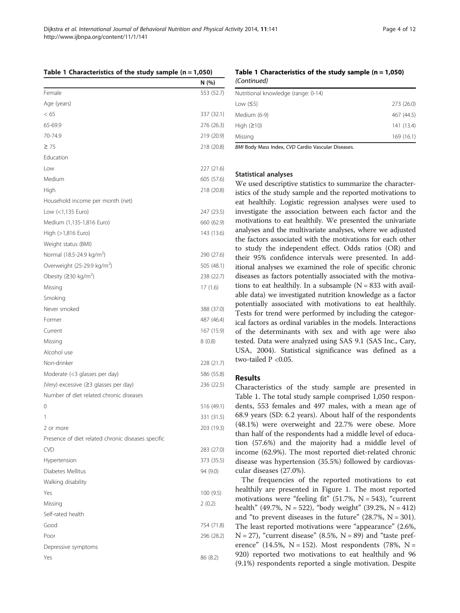|                                                    | N (%)      |
|----------------------------------------------------|------------|
| Female                                             | 553 (52.7) |
| Age (years)                                        |            |
| < 65                                               | 337 (32.1) |
| 65-69.9                                            | 276 (26.3) |
| 70-74.9                                            | 219 (20.9) |
| $\geq 75$                                          | 218 (20.8) |
| Education                                          |            |
| Low                                                | 227 (21.6) |
| Medium                                             | 605 (57.6) |
| High                                               | 218 (20.8) |
| Household income per month (net)                   |            |
| Low (<1,135 Euro)                                  | 247 (23.5) |
| Medium (1,135-1,816 Euro)                          | 660 (62.9) |
| High (>1,816 Euro)                                 | 143 (13.6) |
| Weight status (BMI)                                |            |
| Normal (18.5-24.9 kg/m <sup>2</sup> )              | 290 (27.6) |
| Overweight (25-29.9 kg/m <sup>2</sup> )            | 505 (48.1) |
| Obesity (≥30 kg/m <sup>2</sup> )                   | 238 (22.7) |
| Missing                                            | 17(1.6)    |
| Smoking                                            |            |
| Never smoked                                       | 388 (37.0) |
| Former                                             | 487 (46.4) |
| Current                                            | 167 (15.9) |
| Missing                                            | 8(0.8)     |
| Alcohol use                                        |            |
| Non-drinker                                        | 228 (21.7) |
| Moderate (<3 glasses per day)                      | 586 (55.8) |
| (Very) excessive (≥3 glasses per day)              | 236 (22.5) |
| Number of diet related chronic diseases            |            |
| 0                                                  | 516 (49.1) |
| 1                                                  | 331 (31.5) |
| 2 or more                                          | 203 (19.3) |
| Presence of diet related chronic diseases specific |            |
| <b>CVD</b>                                         | 283 (27.0) |
| Hypertension                                       | 373 (35.5) |
| Diabetes Mellitus                                  | 94 (9.0)   |
| Walking disability                                 |            |
| Yes                                                | 100 (9.5)  |
| Missing                                            | 2(0.2)     |
| Self-rated health                                  |            |
| Good                                               | 754 (71.8) |
| Poor                                               | 296 (28.2) |
| Depressive symptoms                                |            |
| Yes                                                | 86 (8.2)   |

Table 1 Characteristics of the study sample  $(n = 1,050)$ (Continued)

| Nutritional knowledge (range: 0-14) |            |
|-------------------------------------|------------|
| Low $(55)$                          | 273 (26.0) |
| Medium (6-9)                        | 467 (44.5) |
| High $(210)$                        | 141 (13.4) |
| Missing                             | 169 (16.1) |
|                                     |            |

BMI Body Mass Index, CVD Cardio Vascular Diseases.

#### Statistical analyses

We used descriptive statistics to summarize the characteristics of the study sample and the reported motivations to eat healthily. Logistic regression analyses were used to investigate the association between each factor and the motivations to eat healthily. We presented the univariate analyses and the multivariate analyses, where we adjusted the factors associated with the motivations for each other to study the independent effect. Odds ratios (OR) and their 95% confidence intervals were presented. In additional analyses we examined the role of specific chronic diseases as factors potentially associated with the motivations to eat healthily. In a subsample  $(N = 833$  with available data) we investigated nutrition knowledge as a factor potentially associated with motivations to eat healthily. Tests for trend were performed by including the categorical factors as ordinal variables in the models. Interactions of the determinants with sex and with age were also tested. Data were analyzed using SAS 9.1 (SAS Inc., Cary, USA, 2004). Statistical significance was defined as a two-tailed  $P < 0.05$ .

#### Results

Characteristics of the study sample are presented in Table 1. The total study sample comprised 1,050 respondents, 553 females and 497 males, with a mean age of 68.9 years (SD: 6.2 years). About half of the respondents (48.1%) were overweight and 22.7% were obese. More than half of the respondents had a middle level of education (57.6%) and the majority had a middle level of income (62.9%). The most reported diet-related chronic disease was hypertension (35.5%) followed by cardiovascular diseases (27.0%).

The frequencies of the reported motivations to eat healthily are presented in Figure [1](#page-2-0). The most reported motivations were "feeling fit" (51.7%,  $N = 543$ ), "current health" (49.7%,  $N = 522$ ), "body weight" (39.2%,  $N = 412$ ) and "to prevent diseases in the future"  $(28.7\%, N = 301)$ . The least reported motivations were "appearance" (2.6%,  $N = 27$ , "current disease" (8.5%,  $N = 89$ ) and "taste preference" (14.5%,  $N = 152$ ). Most respondents (78%,  $N =$ 920) reported two motivations to eat healthily and 96 (9.1%) respondents reported a single motivation. Despite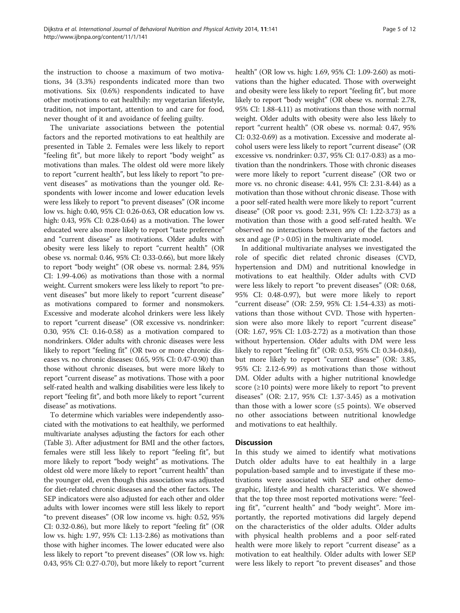the instruction to choose a maximum of two motivations, 34 (3.3%) respondents indicated more than two motivations. Six (0.6%) respondents indicated to have other motivations to eat healthily: my vegetarian lifestyle, tradition, not important, attention to and care for food, never thought of it and avoidance of feeling guilty.

The univariate associations between the potential factors and the reported motivations to eat healthily are presented in Table [2](#page-5-0). Females were less likely to report "feeling fit", but more likely to report "body weight" as motivations than males. The oldest old were more likely to report "current health", but less likely to report "to prevent diseases" as motivations than the younger old. Respondents with lower income and lower education levels were less likely to report "to prevent diseases" (OR income low vs. high: 0.40, 95% CI: 0.26-0.63, OR education low vs. high: 0.43, 95% CI: 0.28-0.64) as a motivation. The lower educated were also more likely to report "taste preference" and "current disease" as motivations. Older adults with obesity were less likely to report "current health" (OR obese vs. normal: 0.46, 95% CI: 0.33-0.66), but more likely to report "body weight" (OR obese vs. normal: 2.84, 95% CI: 1.99-4.06) as motivations than those with a normal weight. Current smokers were less likely to report "to prevent diseases" but more likely to report "current disease" as motivations compared to former and nonsmokers. Excessive and moderate alcohol drinkers were less likely to report "current disease" (OR excessive vs. nondrinker: 0.30, 95% CI: 0.16-0.58) as a motivation compared to nondrinkers. Older adults with chronic diseases were less likely to report "feeling fit" (OR two or more chronic diseases vs. no chronic diseases: 0.65, 95% CI: 0.47-0.90) than those without chronic diseases, but were more likely to report "current disease" as motivations. Those with a poor self-rated health and walking disabilities were less likely to report "feeling fit", and both more likely to report "current disease" as motivations.

To determine which variables were independently associated with the motivations to eat healthily, we performed multivariate analyses adjusting the factors for each other (Table [3](#page-7-0)). After adjustment for BMI and the other factors, females were still less likely to report "feeling fit", but more likely to report "body weight" as motivations. The oldest old were more likely to report "current health" than the younger old, even though this association was adjusted for diet-related chronic diseases and the other factors. The SEP indicators were also adjusted for each other and older adults with lower incomes were still less likely to report "to prevent diseases" (OR low income vs. high: 0.52, 95% CI: 0.32-0.86), but more likely to report "feeling fit" (OR low vs. high: 1.97, 95% CI: 1.13-2.86) as motivations than those with higher incomes. The lower educated were also less likely to report "to prevent diseases" (OR low vs. high: 0.43, 95% CI: 0.27-0.70), but more likely to report "current health" (OR low vs. high: 1.69, 95% CI: 1.09-2.60) as motivations than the higher educated. Those with overweight and obesity were less likely to report "feeling fit", but more likely to report "body weight" (OR obese vs. normal: 2.78, 95% CI: 1.88-4.11) as motivations than those with normal weight. Older adults with obesity were also less likely to report "current health" (OR obese vs. normal: 0.47, 95% CI: 0.32-0.69) as a motivation. Excessive and moderate alcohol users were less likely to report "current disease" (OR excessive vs. nondrinker: 0.37, 95% CI: 0.17-0.83) as a motivation than the nondrinkers. Those with chronic diseases were more likely to report "current disease" (OR two or more vs. no chronic disease: 4.41, 95% CI: 2.31-8.44) as a motivation than those without chronic disease. Those with a poor self-rated health were more likely to report "current disease" (OR poor vs. good: 2.31, 95% CI: 1.22-3.73) as a motivation than those with a good self-rated health. We observed no interactions between any of the factors and sex and age  $(P > 0.05)$  in the multivariate model.

In additional multivariate analyses we investigated the role of specific diet related chronic diseases (CVD, hypertension and DM) and nutritional knowledge in motivations to eat healthily. Older adults with CVD were less likely to report "to prevent diseases" (OR: 0.68, 95% CI: 0.48-0.97), but were more likely to report "current disease" (OR: 2.59, 95% CI: 1.54-4.33) as motivations than those without CVD. Those with hypertension were also more likely to report "current disease" (OR: 1.67, 95% CI: 1.03-2.72) as a motivation than those without hypertension. Older adults with DM were less likely to report "feeling fit" (OR: 0.53, 95% CI: 0.34-0.84), but more likely to report "current disease" (OR: 3.85, 95% CI: 2.12-6.99) as motivations than those without DM. Older adults with a higher nutritional knowledge score (≥10 points) were more likely to report "to prevent diseases" (OR: 2.17, 95% CI: 1.37-3.45) as a motivation than those with a lower score  $(\leq 5$  points). We observed no other associations between nutritional knowledge and motivations to eat healthily.

# **Discussion**

In this study we aimed to identify what motivations Dutch older adults have to eat healthily in a large population-based sample and to investigate if these motivations were associated with SEP and other demographic, lifestyle and health characteristics. We showed that the top three most reported motivations were: "feeling fit", "current health" and "body weight". More importantly, the reported motivations did largely depend on the characteristics of the older adults. Older adults with physical health problems and a poor self-rated health were more likely to report "current disease" as a motivation to eat healthily. Older adults with lower SEP were less likely to report "to prevent diseases" and those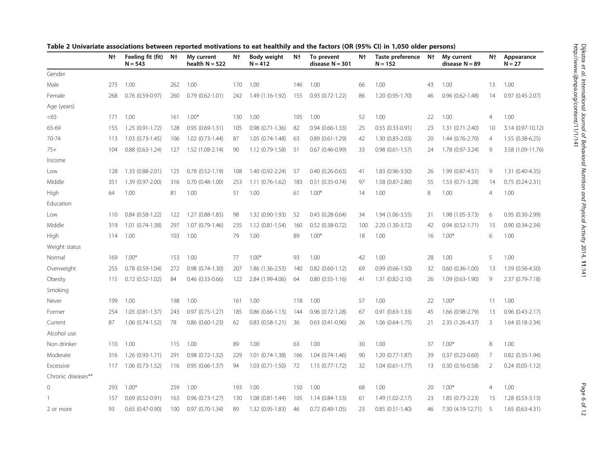|                    | N+  | Feeling fit (fit)<br>$N = 543$ | N†  | My current<br>health $N = 522$ | N+  | Body weight<br>$N = 412$ | N†  | To prevent<br>disease $N = 301$ | N+  | Taste preference<br>$N = 152$ | N† | My current<br>disease $N = 89$ | N <sup>+</sup> | Appearance<br>$N = 27$ |
|--------------------|-----|--------------------------------|-----|--------------------------------|-----|--------------------------|-----|---------------------------------|-----|-------------------------------|----|--------------------------------|----------------|------------------------|
| Gender             |     |                                |     |                                |     |                          |     |                                 |     |                               |    |                                |                |                        |
| Male               | 275 | 1.00                           | 262 | 1.00                           | 170 | 1.00                     | 146 | 1.00                            | 66  | 1.00                          | 43 | 1.00                           | 13             | 1.00                   |
| Female             | 268 | $0.76$ (0.59-0.97)             | 260 | $0.79(0.62 - 1.01)$            | 242 | 1.49 (1.16-1.92)         | 155 | $0.93(0.72-1.22)$               | 86  | 1.20 (0.95-1.70)              | 46 | $0.96(0.62 - 1.48)$            | 14             | $0.97(0.45 - 2.07)$    |
| Age (years)        |     |                                |     |                                |     |                          |     |                                 |     |                               |    |                                |                |                        |
| <65                | 171 | 1.00                           | 161 | $1.00*$                        | 130 | 1.00                     | 105 | 1.00                            | 52  | 1.00                          | 22 | 1.00                           | $\overline{4}$ | 1.00                   |
| 65-69              | 155 | $1.25(0.91-1.72)$              | 128 | $0.95(0.69-1.31)$              | 105 | $0.98(0.71-1.36)$        | 82  | $0.94(0.66-1.33)$               | 25  | $0.55(0.33-0.91)$             | 23 | 1.31 (0.71-2.40)               | 10             | 3.14 (0.97-10.12)      |
| 70-74              | 113 | $1.03(0.73-1.45)$              | 106 | 1.02 (0.73-1.44)               | 87  | $1.05(0.74-1.48)$        | 63  | $0.89(0.61-1.29)$               | 42  | 1.30 (0.83-2.03)              | 20 | 1.44 (0.76-2.70)               | $\overline{4}$ | 1.55 (0.38-6.25)       |
| $75+$              | 104 | $0.88$ $(0.63 - 1.24)$         | 127 | 1.52 (1.08-2.14)               | 90  | 1.12 (0.79-1.58)         | 51  | $0.67(0.46-0.99)$               | 33  | $0.98(0.61 - 1.57)$           | 24 | 1.78 (0.97-3.24)               | 9              | 3.58 (1.09-11.76)      |
| Income             |     |                                |     |                                |     |                          |     |                                 |     |                               |    |                                |                |                        |
| Low                | 128 | 1.33 (0.88-2.01)               | 125 | $0.78(0.52 - 1.19)$            | 108 | 1.40 (0.92-2.24)         | 57  | $0.40(0.26 - 0.63)$             | 41  | 1.83 (0.96-3.50)              | 26 | 1.99 (0.87-4.51)               | 9              | 1.31 (0.40-4.35)       |
| Middle             | 351 | 1.39 (0.97-2.00)               | 316 | $0.70(0.48-1.00)$              | 253 | $1.11(0.76-1.62)$        | 183 | $0.51(0.35-0.74)$               | 97  | 1.58 (0.87-2.86)              | 55 | 1.53 (0.71-3.28)               | 14             | $0.75(0.24-2.31)$      |
| High               | 64  | 1.00                           | 81  | 1.00                           | 51  | 1.00                     | 61  | $1.00*$                         | 14  | 1.00                          | 8  | 1.00                           | $\overline{4}$ | 1.00                   |
| Education          |     |                                |     |                                |     |                          |     |                                 |     |                               |    |                                |                |                        |
| Low                | 110 | $0.84(0.58-1.22)$              | 122 | 1.27 (0.88-1.85)               | 98  | 1.32 (0.90-1.93)         | 52  | $0.43(0.28-0.64)$               | 34  | 1.94 (1.06-3.55)              | 31 | 1.98 (1.05-3.73)               | 6              | 0.95 (0.30-2.99)       |
| Middle             | 319 | $1.01(0.74-1.38)$              | 297 | 1.07 (0.79-1.46)               | 235 | $1.12(0.81 - 1.54)$      | 160 | $0.52(0.38-0.72)$               | 100 | 2.20 (1.30-3.72)              | 42 | $0.94(0.52 - 1.71)$            | -15            | $0.90(0.34 - 2.34)$    |
| High               | 114 | 1.00                           | 103 | 1.00                           | 79  | 1.00                     | 89  | $1.00*$                         | 18  | 1.00                          | 16 | $1.00*$                        | 6              | 1.00                   |
| Weight status      |     |                                |     |                                |     |                          |     |                                 |     |                               |    |                                |                |                        |
| Normal             | 169 | $1.00*$                        | 153 | 1.00                           | 77  | $1.00*$                  | 93  | 1.00                            | 42  | 1.00                          | 28 | 1.00                           | 5              | 1.00                   |
| Overweight         | 255 | $0.78(0.59-1.04)$              | 272 | $0.98(0.74-1.30)$              | 207 | 1.86 (1.36-2.53)         | 140 | $0.82(0.60-1.12)$               | 69  | $0.99(0.66 - 1.50)$           | 32 | $0.60$ $(0.36-1.00)$           | -13            | 1.59 (0.56-4.50)       |
| Obesity            | 115 | $0.72$ $(0.52 - 1.02)$         | 84  | $0.46$ $(0.33 - 0.66)$         | 122 | 2.84 (1.99-4.06)         | 64  | $0.80(0.55-1.16)$               | 41  | 1.31 (0.82-2.10)              | 26 | 1.09 (0.63-1.90)               | 9              | 2.37 (0.79-7.18)       |
| Smoking            |     |                                |     |                                |     |                          |     |                                 |     |                               |    |                                |                |                        |
| Never              | 199 | 1.00                           | 198 | 1.00                           | 161 | 1.00                     | 118 | 1.00                            | 57  | 1.00                          | 22 | $1.00*$                        | 11             | 1.00                   |
| Former             | 254 | $1.05(0.81 - 1.37)$            | 243 | $0.97(0.75-1.27)$              | 185 | $0.86(0.66-1.13)$        | 144 | $0.96(0.72-1.28)$               | 67  | $0.91(0.63 - 1.33)$           | 45 | 1.66 (0.98-2.79)               | 13             | $0.96(0.43 - 2.17)$    |
| Current            | 87  | $1.06(0.74-1.52)$              | 78  | $0.86$ (0.60-1.23)             | 62  | $0.83$ $(0.58 - 1.21)$   | 36  | $0.63$ $(0.41 - 0.96)$          | 26  | 1.06 (0.64-1.75)              | 21 | 2.35 (1.26-4.37)               | 3              | 1.64 (0.18-2.34)       |
| Alcohol use        |     |                                |     |                                |     |                          |     |                                 |     |                               |    |                                |                |                        |
| Non drinker        | 110 | 1.00                           | 115 | 1.00                           | 89  | 1.00                     | 63  | 1.00                            | 30  | 1.00                          | 37 | $1.00*$                        | 8              | 1.00                   |
| Moderate           | 316 | 1.26 (0.93-1.71)               | 291 | $0.98(0.72 - 1.32)$            | 229 | 1.01 (0.74-1.38)         | 166 | 1.04 (0.74-1.46)                | 90  | 1.20 (0.77-1.87)              | 39 | $0.37(0.23 - 0.60)$            | 7              | $0.82$ $(0.35 - 1.94)$ |
| Excessive          | 117 | $1.06(0.73-1.52)$              | 116 | $0.95(0.66 - 1.37)$            | 94  | $1.03(0.71-1.50)$        | 72  | $1.15(0.77-1.72)$               | 32  | $1.04(0.61 - 1.77)$           | 13 | $0.30(0.16 - 0.58)$            | 2              | $0.24(0.05-1.12)$      |
| Chronic diseases** |     |                                |     |                                |     |                          |     |                                 |     |                               |    |                                |                |                        |
| $\circ$            | 293 | $1.00*$                        | 259 | 1.00                           | 193 | 1.00                     | 150 | 1.00                            | 68  | 1.00                          | 20 | $1.00*$                        | $\overline{4}$ | 1.00                   |
|                    | 157 | $0.69(0.52-0.91)$              | 163 | $0.96(0.73-1.27)$              | 130 | $1.08(0.81 - 1.44)$      | 105 | $1.14(0.84-1.53)$               | 61  | 1.49 (1.02-2.17)              | 23 | 1.85 (0.73-2.23)               | 15             | $1.28(0.53-3.13)$      |
| 2 or more          | 93  | $0.65(0.47-0.90)$              | 100 | $0.97(0.70-1.34)$              | 89  | 1.32 (0.95-1.83)         | 46  | $0.72(0.49-1.05)$               | 23  | $0.85(0.51 - 1.40)$           | 46 | 7.30 (4.19-12.71)              | -5             | 1.65 (0.63-4.31)       |

# <span id="page-5-0"></span>Table 2 Univariate associations between reported motivations to eat healthily and the factors (OR (95% CI) in 1,050 older persons)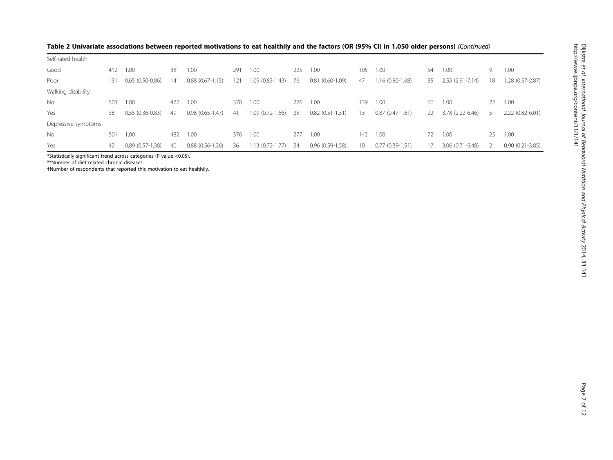| Table 2 Univariate associations between reported motivations to eat healthily and the factors (OR (95% CI) in 1,050 older persons) (Continued) |  |
|------------------------------------------------------------------------------------------------------------------------------------------------|--|
|------------------------------------------------------------------------------------------------------------------------------------------------|--|

| Self-rated health   |     |                   |     |                     |     |                     |     |                   |                 |                   |    |                     |    |                     |
|---------------------|-----|-------------------|-----|---------------------|-----|---------------------|-----|-------------------|-----------------|-------------------|----|---------------------|----|---------------------|
| Good                | 412 | 1.00              | 381 | 1.00                | 291 | 1.00                | 225 | 1.00              | 105             | 1.00              | 54 | 1.00                | 9  | 1.00                |
| Poor                | 131 | $0.65(0.50-0.86)$ | 141 | $0.88(0.67-1.15)$   | 121 | $1.09(0.83 - 1.43)$ | 76  | $0.81(0.60-1.09)$ | 47              | $1.16(0.80-1.68)$ | 35 | 2.55 (2.91-7.14)    | 18 | 1.28 (0.57-2.87)    |
| Walking disability  |     |                   |     |                     |     |                     |     |                   |                 |                   |    |                     |    |                     |
| No.                 | 503 | 1.00              | 472 | 1.00                | 370 | 1.00                | 276 | 1.00              | 139             | 1.00              | 66 | 1.00                | 22 | 1.00                |
| Yes                 | 38  | $0.55(0.36-0.83)$ | 49  | $0.98(0.65 - 1.47)$ | 41  | $1.09(0.72 - 1.66)$ | 25  | $0.82(0.51-1.31)$ | 13              | $0.87(0.47-1.61)$ | 22 | 3.78 (2.22-6.46)    | 5  | $2.22(0.82 - 6.01)$ |
| Depressive symptoms |     |                   |     |                     |     |                     |     |                   |                 |                   |    |                     |    |                     |
| No                  | 501 | 1.00              | 482 | 1.00                | 376 | 1.00                | 277 | 1.00              | 142             | 1.00              | 72 | 1.00                | 25 | 1.00                |
| Yes                 | 42  | $0.89(0.57-1.38)$ | 40  | $0.88(0.56-1.36)$   | 36  | $1.13(0.72 - 1.77)$ | 24  | $0.96(0.59-1.58)$ | 10 <sup>°</sup> | $0.77(0.39-1.51)$ | 17 | $3.06(0.71 - 5.48)$ |    | $0.90(0.21 - 3.85)$ |

\*Statistically significant trend across categories (P value <0.05).

\*\*Number of diet related chronic diseases.

†Number of respondents that reported this motivation to eat healthily.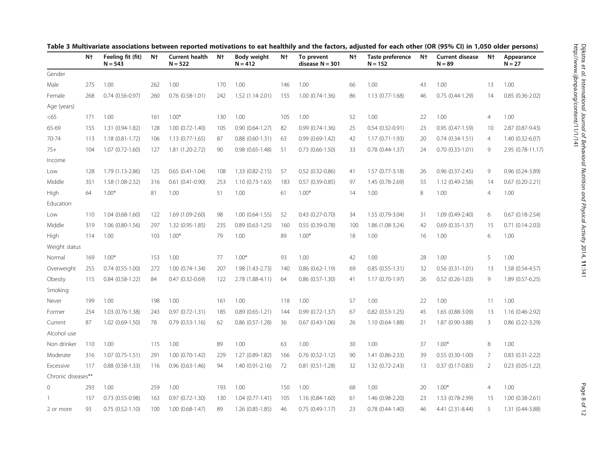|                    | N <sup>+</sup> | Feeling fit (fit)<br>$N = 543$ | N <sup>+</sup> | <b>Current health</b><br>$N = 522$ | N <sup>+</sup> | Body weight<br>$N = 412$ | N+  | To prevent<br>disease $N = 301$ | N <sup>+</sup> | Taste preference<br>$N = 152$ | N† | <b>Current disease</b><br>$N = 89$ | N†             | Appearance<br>$N = 27$ |
|--------------------|----------------|--------------------------------|----------------|------------------------------------|----------------|--------------------------|-----|---------------------------------|----------------|-------------------------------|----|------------------------------------|----------------|------------------------|
| Gender             |                |                                |                |                                    |                |                          |     |                                 |                |                               |    |                                    |                |                        |
| Male               | 275            | 1.00                           | 262            | 1.00                               | 170            | 1.00                     | 146 | 1.00                            | 66             | 1.00                          | 43 | 1.00                               | 13             | 1.00                   |
| Female             | 268            | $0.74(0.56-0.97)$              | 260            | $0.76$ $(0.58 - 1.01)$             | 242            | 1.52 (1.14-2.01)         | 155 | $1.00(0.74-1.36)$               | 86             | 1.13 (0.77-1.68)              | 46 | $0.75(0.44-1.29)$                  | 14             | $0.85(0.36-2.02)$      |
| Age (years)        |                |                                |                |                                    |                |                          |     |                                 |                |                               |    |                                    |                |                        |
| <65                | 171            | 1.00                           | 161            | $1.00*$                            | 130            | 1.00                     | 105 | 1.00                            | 52             | 1.00                          | 22 | 1.00                               | $\overline{4}$ | 1.00                   |
| 65-69              | 155            | 1.31 (0.94-1.82)               | 128            | $1.00(0.72 - 1.40)$                | 105            | $0.90(0.64 - 1.27)$      | 82  | $0.99(0.74-1.36)$               | 25             | $0.54(0.32-0.91)$             | 23 | $0.95(0.47-1.59)$                  | 10             | 2.87 (0.87-9.43)       |
| 70-74              | 113            | 1.18 (0.81-1.72)               | 106            | $1.13(0.77-1.65)$                  | 87             | $0.88$ $(0.60 - 1.31)$   | 63  | $0.99(0.69-1.42)$               | 42             | $1.17(0.71-1.93)$             | 20 | $0.74(0.34-1.51)$                  | $\overline{4}$ | 1.40 (0.32-6.07)       |
| $75+$              | 104            | $1.07(0.72 - 1.60)$            | 127            | 1.81 (1.20-2.72)                   | 90             | $0.98(0.65 - 1.48)$      | 51  | $0.73(0.66 - 1.50)$             | 33             | $0.78(0.44 - 1.37)$           | 24 | $0.70(0.33-1.01)$                  | 9              | 2.95 (0.78-11.17)      |
| Income             |                |                                |                |                                    |                |                          |     |                                 |                |                               |    |                                    |                |                        |
| Low                | 128            | 1.79 (1.13-2.86)               | 125            | $0.65(0.41-1.04)$                  | 108            | $1.33(0.82 - 2.15)$      | 57  | $0.52(0.32 - 0.86)$             | 41             | $1.57(0.77-3.18)$             | 26 | $0.96(0.37 - 2.45)$                | 9              | 0.96 (0.24-3.89)       |
| Middle             | 351            | 1.58 (1.08-2.32)               | 316            | $0.61(0.41-0.90)$                  | 253            | $1.10(0.73-1.63)$        | 183 | $0.57(0.39 - 0.85)$             | 97             | 1.45 (0.78-2.69)              | 55 | 1.12 (0.49-2.58)                   | 14             | $0.67(0.20-2.21)$      |
| High               | 64             | $1.00*$                        | 81             | 1.00                               | 51             | 1.00                     | 61  | $1.00*$                         | 14             | 1.00                          | 8  | 1.00                               | $\overline{4}$ | 1.00                   |
| Education          |                |                                |                |                                    |                |                          |     |                                 |                |                               |    |                                    |                |                        |
| Low                | 110            | $1.04(0.68-1.60)$              | 122            | 1.69 (1.09-2.60)                   | 98             | $1.00(0.64-1.55)$        | 52  | $0.43(0.27-0.70)$               | 34             | 1.55 (0.79-3.04)              | 31 | 1.09 (0.49-2.40)                   | 6              | $0.67(0.18-2.54)$      |
| Middle             | 319            | 1.06 (0.80-1.56)               | 297            | 1.32 (0.95-1.85)                   | 235            | $0.89(0.63 - 1.25)$      | 160 | $0.55(0.39 - 0.78)$             | 100            | 1.86 (1.08-3.24)              | 42 | $0.69(0.35-1.37)$                  | 15             | $0.71(0.14-2.03)$      |
| High               | 114            | 1.00                           | 103            | $1.00*$                            | 79             | 1.00                     | 89  | $1.00*$                         | 18             | 1.00                          | 16 | 1.00                               | 6              | 1.00                   |
| Weight status      |                |                                |                |                                    |                |                          |     |                                 |                |                               |    |                                    |                |                        |
| Normal             | 169            | $1.00*$                        | 153            | 1.00                               | 77             | $1.00*$                  | 93  | 1.00                            | 42             | 1.00                          | 28 | 1.00                               | 5              | 1.00                   |
| Overweight         | 255            | $0.74(0.55-1.00)$              | 272            | $1.00(0.74-1.34)$                  | 207            | 1.98 (1.43-2.73)         | 140 | $0.86(0.62 - 1.19)$             | 69             | $0.85(0.55-1.31)$             | 32 | $0.56(0.31-1.01)$                  | 13             | 1.58 (0.54-4.57)       |
| Obesity            | 115            | $0.84(0.58-1.22)$              | 84             | $0.47(0.32 - 0.69)$                | 122            | 2.78 (1.88-4.11)         | 64  | $0.86$ $(0.57 - 1.30)$          | 41             | 1.17 (0.70-1.97)              | 26 | $0.52(0.26 - 1.03)$                | 9              | 1.89 (0.57-6.25)       |
| Smoking            |                |                                |                |                                    |                |                          |     |                                 |                |                               |    |                                    |                |                        |
| Never              | 199            | 1.00                           | 198            | 1.00                               | 161            | 1.00                     | 118 | 1.00                            | 57             | 1.00                          | 22 | 1.00                               | 11             | 1.00                   |
| Former             | 254            | 1.03 (0.76-1.38)               | 243            | $0.97(0.72 - 1.31)$                | 185            | $0.89(0.65 - 1.21)$      | 144 | $0.99(0.72 - 1.37)$             | 67             | $0.82$ $(0.53 - 1.25)$        | 45 | 1.65 (0.88-3.09)                   | 13             | 1.16 (0.46-2.92)       |
| Current            | 87             | 1.02 (0.69-1.50)               | 78             | $0.79(0.53-1.16)$                  | 62             | $0.86$ $(0.57 - 1.28)$   | 36  | $0.67$ $(0.43 - 1.06)$          | 26             | 1.10 (0.64-1.88)              | 21 | 1.87 (0.90-3.88)                   | 3              | $0.86$ $(0.22 - 3.29)$ |
| Alcohol use        |                |                                |                |                                    |                |                          |     |                                 |                |                               |    |                                    |                |                        |
| Non drinker        | 110            | 1.00                           | 115            | 1.00                               | 89             | 1.00                     | 63  | 1.00                            | 30             | 1.00                          | 37 | $1.00*$                            | $\,8\,$        | 1.00                   |
| Moderate           | 316            | $1.07(0.75-1.51)$              | 291            | $1.00(0.70-1.42)$                  | 229            | 1.27 (0.89-1.82)         | 166 | $0.76$ $(0.52 - 1.12)$          | 90             | 1.41 (0.86-2.33)              | 39 | $0.55(0.30-1.00)$                  | 7              | $0.83$ $(0.31 - 2.22)$ |
| Excessive          | 117            | $0.88$ $(0.58 - 1.33)$         | 116            | $0.96$ $(0.63 - 1.46)$             | 94             | 1.40 (0.91-2.16)         | 72  | $0.81$ $(0.51 - 1.28)$          | 32             | 1.32 (0.72-2.43)              | 13 | $0.37(0.17-0.83)$                  | $\overline{2}$ | $0.23$ $(0.05-1.22)$   |
| Chronic diseases** |                |                                |                |                                    |                |                          |     |                                 |                |                               |    |                                    |                |                        |
| $\circ$            | 293            | 1.00                           | 259            | 1.00                               | 193            | 1.00                     | 150 | 1.00                            | 68             | 1.00                          | 20 | $1.00*$                            | $\overline{4}$ | 1.00                   |
|                    | 157            | $0.73(0.55-0.98)$              | 163            | $0.97(0.72 - 1.30)$                | 130            | $1.04(0.77-1.41)$        | 105 | $1.16(0.84 - 1.60)$             | 61             | 1.46 (0.98-2.20)              | 23 | 1.53 (0.78-2.99)                   | 15             | $1.00(0.38-2.61)$      |
| 2 or more          | 93             | $0.75(0.52 - 1.10)$            | 100            | $1.00(0.68 - 1.47)$                | 89             | $1.26(0.85-1.85)$        | 46  | $0.75(0.49-1.17)$               | 23             | $0.78(0.44 - 1.40)$           | 46 | 4.41 (2.31-8.44)                   | 5              | 1.31 (0.44-3.88)       |

# <span id="page-7-0"></span>Table 3 Multivariate associations between reported motivations to eat healthily and the factors, adjusted for each other (OR (95% CI) in 1,050 older persons)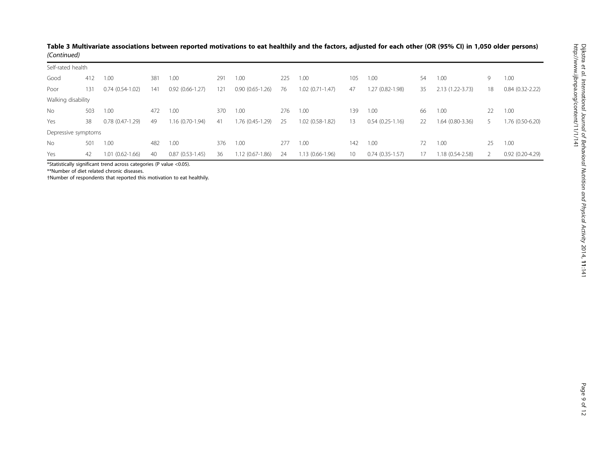| (Continued)        |                     |                   |     |                     |     |                     |     |                   |     |                   |    |                     |    |                     |
|--------------------|---------------------|-------------------|-----|---------------------|-----|---------------------|-----|-------------------|-----|-------------------|----|---------------------|----|---------------------|
| Self-rated health  |                     |                   |     |                     |     |                     |     |                   |     |                   |    |                     |    |                     |
| Good               | 412                 | 1.00              | 381 | 1.00                | 291 | 1.00                | 225 | 1.00              | 105 | 1.00              | 54 | 1.00                | 9  | 1.00                |
| Poor               | 131                 | $0.74(0.54-1.02)$ | 141 | $0.92(0.66 - 1.27)$ | 121 | $0.90(0.65-1.26)$   | 76  | $1.02(0.71-1.47)$ | 47  | 1.27 (0.82-1.98)  | 35 | $2.13(1.22 - 3.73)$ | 18 | $0.84(0.32 - 2.22)$ |
| Walking disability |                     |                   |     |                     |     |                     |     |                   |     |                   |    |                     |    |                     |
| No                 | 503                 | 1.00              | 472 | 1.00                | 370 | 1.00                | 276 | 1.00              | 139 | 1.00              | 66 | 1.00                | 22 | 1.00                |
| Yes                | 38                  | $0.78(0.47-1.29)$ | 49  | $1.16(0.70-1.94)$   | 41  | $1.76(0.45-1.29)$   | -25 | 1.02 (0.58-1.82)  | 13  | $0.54(0.25-1.16)$ | 22 | $1.64(0.80-3.36)$   | 5  | 1.76 (0.50-6.20)    |
|                    | Depressive symptoms |                   |     |                     |     |                     |     |                   |     |                   |    |                     |    |                     |
| No.                | 501                 | 1.00              | 482 | 1.00                | 376 | 1.00                | 277 | 1.00              | 142 | 1.00              | 72 | 1.00                | 25 | 1.00                |
| Yes                | 42                  | 1.01 (0.62-1.66)  | 40  | $0.87(0.53-1.45)$   | 36  | $1.12(0.67 - 1.86)$ | 24  | 1.13 (0.66-1.96)  | 10  | $0.74(0.35-1.57)$ | 17 | 1.18 (0.54-2.58)    |    | $0.92(0.20 - 4.29)$ |

Table 3 Multivariate associations between reported motivations to eat healthily and the factors, adjusted for each other (OR (95% CI) in 1,050 older persons) (Continued)

\*Statistically significant trend across categories (P value <0.05).

\*\*Number of diet related chronic diseases.

†Number of respondents that reported this motivation to eat healthily.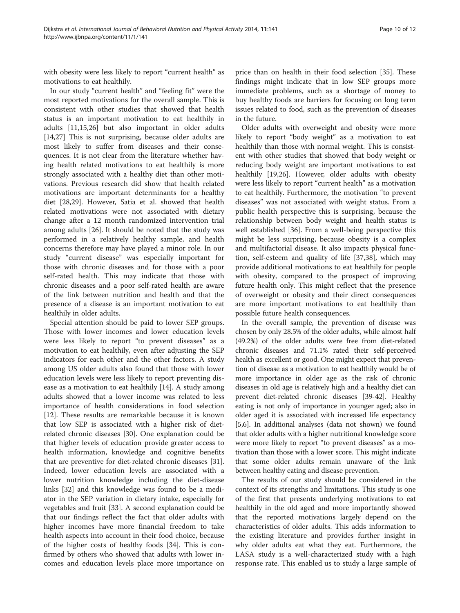with obesity were less likely to report "current health" as motivations to eat healthily.

In our study "current health" and "feeling fit" were the most reported motivations for the overall sample. This is consistent with other studies that showed that health status is an important motivation to eat healthily in adults [[11,](#page-10-0)[15,26\]](#page-11-0) but also important in older adults [[14,27\]](#page-11-0) This is not surprising, because older adults are most likely to suffer from diseases and their consequences. It is not clear from the literature whether having health related motivations to eat healthily is more strongly associated with a healthy diet than other motivations. Previous research did show that health related motivations are important determinants for a healthy diet [\[28,29](#page-11-0)]. However, Satia et al. showed that health related motivations were not associated with dietary change after a 12 month randomized intervention trial among adults [\[26](#page-11-0)]. It should be noted that the study was performed in a relatively healthy sample, and health concerns therefore may have played a minor role. In our study "current disease" was especially important for those with chronic diseases and for those with a poor self-rated health. This may indicate that those with chronic diseases and a poor self-rated health are aware of the link between nutrition and health and that the presence of a disease is an important motivation to eat healthily in older adults.

Special attention should be paid to lower SEP groups. Those with lower incomes and lower education levels were less likely to report "to prevent diseases" as a motivation to eat healthily, even after adjusting the SEP indicators for each other and the other factors. A study among US older adults also found that those with lower education levels were less likely to report preventing disease as a motivation to eat healthily [[14](#page-11-0)]. A study among adults showed that a lower income was related to less importance of health considerations in food selection [[12\]](#page-11-0). These results are remarkable because it is known that low SEP is associated with a higher risk of dietrelated chronic diseases [[30\]](#page-11-0). One explanation could be that higher levels of education provide greater access to health information, knowledge and cognitive benefits that are preventive for diet-related chronic diseases [\[31](#page-11-0)]. Indeed, lower education levels are associated with a lower nutrition knowledge including the diet-disease links [\[32\]](#page-11-0) and this knowledge was found to be a mediator in the SEP variation in dietary intake, especially for vegetables and fruit [[33\]](#page-11-0). A second explanation could be that our findings reflect the fact that older adults with higher incomes have more financial freedom to take health aspects into account in their food choice, because of the higher costs of healthy foods [[34\]](#page-11-0). This is confirmed by others who showed that adults with lower incomes and education levels place more importance on

price than on health in their food selection [\[35\]](#page-11-0). These findings might indicate that in low SEP groups more immediate problems, such as a shortage of money to buy healthy foods are barriers for focusing on long term issues related to food, such as the prevention of diseases in the future.

Older adults with overweight and obesity were more likely to report "body weight" as a motivation to eat healthily than those with normal weight. This is consistent with other studies that showed that body weight or reducing body weight are important motivations to eat healthily [\[19,26\]](#page-11-0). However, older adults with obesity were less likely to report "current health" as a motivation to eat healthily. Furthermore, the motivation "to prevent diseases" was not associated with weight status. From a public health perspective this is surprising, because the relationship between body weight and health status is well established [\[36\]](#page-11-0). From a well-being perspective this might be less surprising, because obesity is a complex and multifactorial disease. It also impacts physical function, self-esteem and quality of life [\[37,38](#page-11-0)], which may provide additional motivations to eat healthily for people with obesity, compared to the prospect of improving future health only. This might reflect that the presence of overweight or obesity and their direct consequences are more important motivations to eat healthily than possible future health consequences.

In the overall sample, the prevention of disease was chosen by only 28.5% of the older adults, while almost half (49.2%) of the older adults were free from diet-related chronic diseases and 71.1% rated their self-perceived health as excellent or good. One might expect that prevention of disease as a motivation to eat healthily would be of more importance in older age as the risk of chronic diseases in old age is relatively high and a healthy diet can prevent diet-related chronic diseases [[39](#page-11-0)-[42](#page-11-0)]. Healthy eating is not only of importance in younger aged; also in older aged it is associated with increased life expectancy [[5,6](#page-10-0)]. In additional analyses (data not shown) we found that older adults with a higher nutritional knowledge score were more likely to report "to prevent diseases" as a motivation than those with a lower score. This might indicate that some older adults remain unaware of the link between healthy eating and disease prevention.

The results of our study should be considered in the context of its strengths and limitations. This study is one of the first that presents underlying motivations to eat healthily in the old aged and more importantly showed that the reported motivations largely depend on the characteristics of older adults. This adds information to the existing literature and provides further insight in why older adults eat what they eat. Furthermore, the LASA study is a well-characterized study with a high response rate. This enabled us to study a large sample of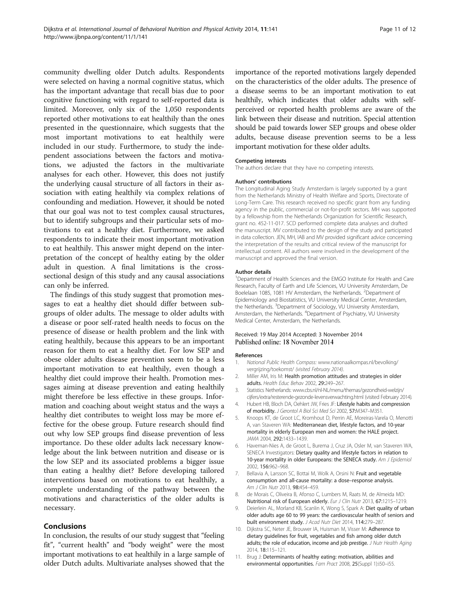<span id="page-10-0"></span>community dwelling older Dutch adults. Respondents were selected on having a normal cognitive status, which has the important advantage that recall bias due to poor cognitive functioning with regard to self-reported data is limited. Moreover, only six of the 1,050 respondents reported other motivations to eat healthily than the ones presented in the questionnaire, which suggests that the most important motivations to eat healthily were included in our study. Furthermore, to study the independent associations between the factors and motivations, we adjusted the factors in the multivariate analyses for each other. However, this does not justify the underlying causal structure of all factors in their association with eating healthily via complex relations of confounding and mediation. However, it should be noted that our goal was not to test complex causal structures, but to identify subgroups and their particular sets of motivations to eat a healthy diet. Furthermore, we asked respondents to indicate their most important motivation to eat healthily. This answer might depend on the interpretation of the concept of healthy eating by the older adult in question. A final limitations is the crosssectional design of this study and any causal associations can only be inferred.

The findings of this study suggest that promotion messages to eat a healthy diet should differ between subgroups of older adults. The message to older adults with a disease or poor self-rated health needs to focus on the presence of disease or health problem and the link with eating healthily, because this appears to be an important reason for them to eat a healthy diet. For low SEP and obese older adults disease prevention seem to be a less important motivation to eat healthily, even though a healthy diet could improve their health. Promotion messages aiming at disease prevention and eating healthily might therefore be less effective in these groups. Information and coaching about weight status and the ways a healthy diet contributes to weight loss may be more effective for the obese group. Future research should find out why low SEP groups find disease prevention of less importance. Do these older adults lack necessary knowledge about the link between nutrition and disease or is the low SEP and its associated problems a bigger issue than eating a healthy diet? Before developing tailored interventions based on motivations to eat healthily, a complete understanding of the pathway between the motivations and characteristics of the older adults is necessary.

# Conclusions

In conclusion, the results of our study suggest that "feeling fit", "current health" and "body weight" were the most important motivations to eat healthily in a large sample of older Dutch adults. Multivariate analyses showed that the

importance of the reported motivations largely depended on the characteristics of the older adults. The presence of a disease seems to be an important motivation to eat healthily, which indicates that older adults with selfperceived or reported health problems are aware of the link between their disease and nutrition. Special attention should be paid towards lower SEP groups and obese older adults, because disease prevention seems to be a less important motivation for these older adults.

#### Competing interests

The authors declare that they have no competing interests.

#### Authors' contributions

The Longitudinal Aging Study Amsterdam is largely supported by a grant from the Netherlands Ministry of Health Welfare and Sports, Directorate of Long-Term Care. This research received no specific grant from any funding agency in the public, commercial or not-for-profit sectors. MH was supported by a fellowship from the Netherlands Organization for Scientific Research, grant no. 452-11-017. SCD performed complete data analyses and drafted the manuscript. MV contributed to the design of the study and participated in data collection. JEN, MH, IAB and MV provided significant advice concerning the interpretation of the results and critical review of the manuscript for intellectual content. All authors were involved in the development of the manuscript and approved the final version.

#### Author details

<sup>1</sup>Department of Health Sciences and the EMGO Institute for Health and Care Research, Faculty of Earth and Life Sciences, VU University Amsterdam, De Boelelaan 1085, 1081 HV Amsterdam, the Netherlands. <sup>2</sup>Department of Epidemiology and Biostatistics, VU University Medical Center, Amsterdam, the Netherlands. <sup>3</sup>Department of Sociology, VU University Amsterdam Amsterdam, the Netherlands. <sup>4</sup>Department of Psychiatry, VU University Medical Center, Amsterdam, the Netherlands.

#### Received: 19 May 2014 Accepted: 3 November 2014 Published online: 18 November 2014

## References

- 1. National Public Health Compass: [www.nationaalkompas.nl/bevolking/](http://www.nationaalkompas.nl/bevolking/vergrijzing/toekomst/) [vergrijzing/toekomst/](http://www.nationaalkompas.nl/bevolking/vergrijzing/toekomst/) (visited February 2014).
- 2. Miller AM, Iris M: Health promotion attitudes and strategies in older adults. Health Educ Behav 2002, 29:249–267.
- 3. Statistics Netherlands: [www.cbs.nl/nl-NL/menu/themas/gezondheid-welzijn/](http://www.cbs.nl/nl-NL/menu/themas/gezondheid-welzijn/cijfers/extra/resterende-gezonde-levensverwachting.html) [cijfers/extra/resterende-gezonde-levensverwachting.html](http://www.cbs.nl/nl-NL/menu/themas/gezondheid-welzijn/cijfers/extra/resterende-gezonde-levensverwachting.html) (visited February 2014).
- 4. Hubert HB, Bloch DA, Oehlert JW, Fries JF: Lifestyle habits and compression of morbidity. J Gerontol A Biol Sci Med Sci 2002, 57:M347–M351.
- 5. Knoops KT, de Groot LC, Kromhout D, Perrin AE, Moreiras-Varela O, Menotti A, van Staveren WA: Mediterranean diet, lifestyle factors, and 10-year mortality in elderly European men and women: the HALE project. JAMA 2004, 292:1433–1439.
- 6. Haveman-Nies A, de Groot L, Burema J, Cruz JA, Osler M, van Staveren WA, SENECA Investigators: Dietary quality and lifestyle factors in relation to 10-year mortality in older Europeans: the SENECA study. Am J Epidemiol 2002, 156:962–968.
- 7. Bellavia A, Larsson SC, Bottai M, Wolk A, Orsini N: Fruit and vegetable consumption and all-cause mortality: a dose–response analysis. Am J Clin Nutr 2013, 98:454–459.
- 8. de Morais C, Oliveira B, Afonso C, Lumbers M, Raats M, de Almeida MD: Nutritional risk of European elderly. Eur J Clin Nutr 2013, 67:1215–1219.
- Deierlein AL, Morland KB, Scanlin K, Wong S, Spark A: Diet quality of urban older adults age 60 to 99 years: the cardiovascular health of seniors and built environment study. J Acad Nutr Diet 2014, 114:279–287.
- 10. Dijkstra SC, Neter JE, Brouwer IA, Huisman M, Visser M: Adherence to dietary guidelines for fruit, vegetables and fish among older dutch adults; the role of education, income and job prestige. J Nutr Health Aging 2014, 18:115–121.
- 11. Brug J: Determinants of healthy eating: motivation, abilities and environmental opportunities. Fam Pract 2008, 25(Suppl 1):i50-i55.